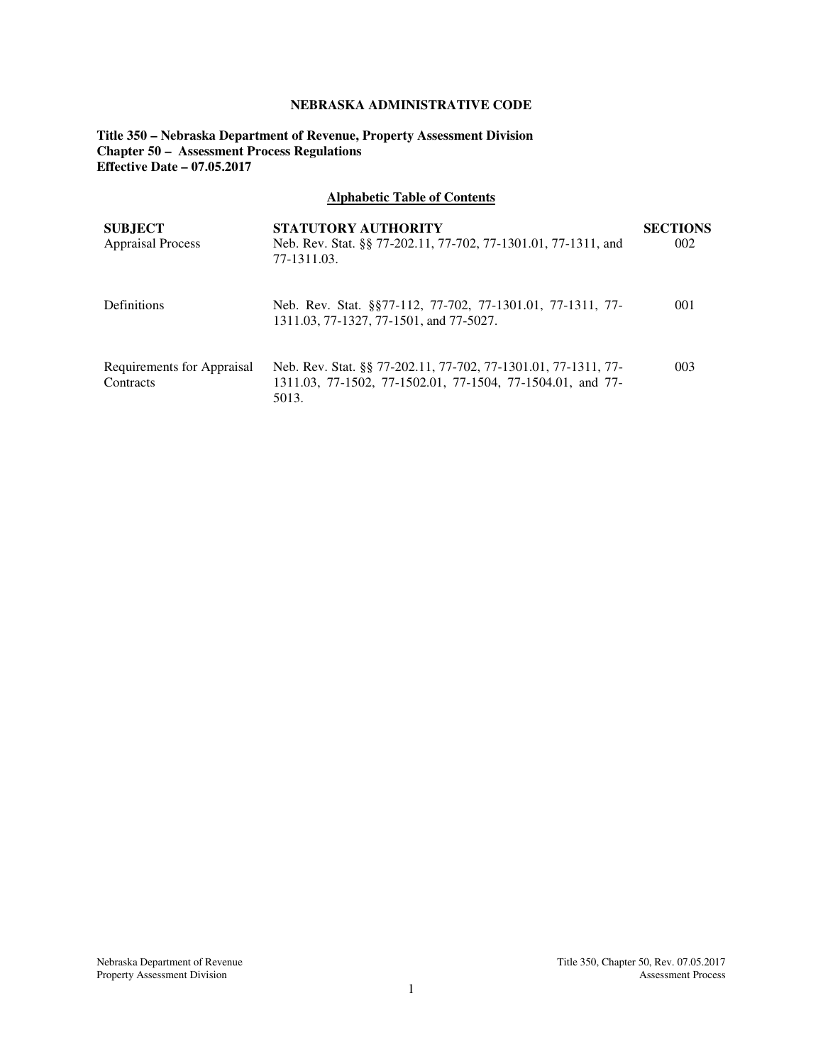# **NEBRASKA ADMINISTRATIVE CODE**

**Title 350 – Nebraska Department of Revenue, Property Assessment Division Chapter 50 – Assessment Process Regulations Effective Date – 07.05.2017** 

# **Alphabetic Table of Contents**

| <b>SUBJECT</b><br><b>Appraisal Process</b> | <b>STATUTORY AUTHORITY</b><br>Neb. Rev. Stat. §§ 77-202.11, 77-702, 77-1301.01, 77-1311, and<br>77-1311.03.                           | <b>SECTIONS</b><br>002 |
|--------------------------------------------|---------------------------------------------------------------------------------------------------------------------------------------|------------------------|
| Definitions                                | Neb. Rev. Stat. §§77-112, 77-702, 77-1301.01, 77-1311, 77-<br>1311.03, 77-1327, 77-1501, and 77-5027.                                 | 001                    |
| Requirements for Appraisal<br>Contracts    | Neb. Rev. Stat. §§ 77-202.11, 77-702, 77-1301.01, 77-1311, 77-<br>1311.03, 77-1502, 77-1502.01, 77-1504, 77-1504.01, and 77-<br>5013. | 003                    |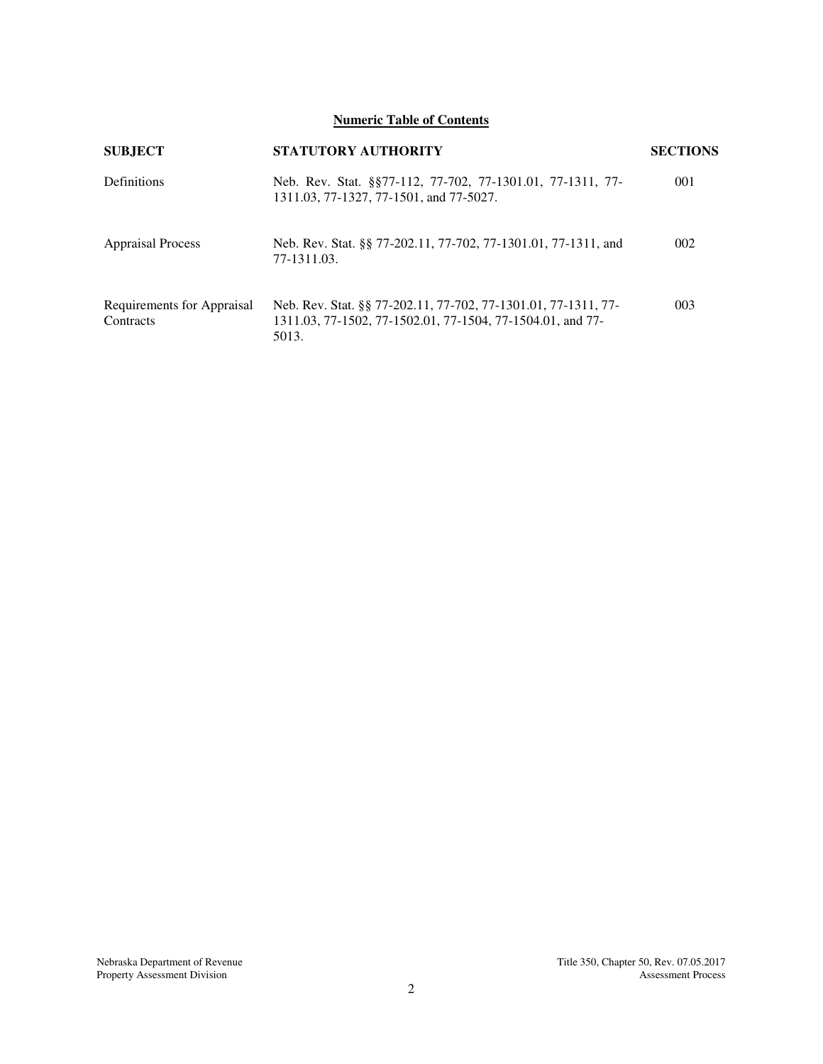**Numeric Table of Contents** 

| <b>SUBJECT</b>                          | <b>STATUTORY AUTHORITY</b>                                                                                                            | <b>SECTIONS</b> |
|-----------------------------------------|---------------------------------------------------------------------------------------------------------------------------------------|-----------------|
| Definitions                             | Neb. Rev. Stat. §§77-112, 77-702, 77-1301.01, 77-1311, 77-<br>1311.03, 77-1327, 77-1501, and 77-5027.                                 | 001             |
| <b>Appraisal Process</b>                | Neb. Rev. Stat. §§ 77-202.11, 77-702, 77-1301.01, 77-1311, and<br>77-1311.03.                                                         | 002             |
| Requirements for Appraisal<br>Contracts | Neb. Rev. Stat. §§ 77-202.11, 77-702, 77-1301.01, 77-1311, 77-<br>1311.03, 77-1502, 77-1502.01, 77-1504, 77-1504.01, and 77-<br>5013. | 003             |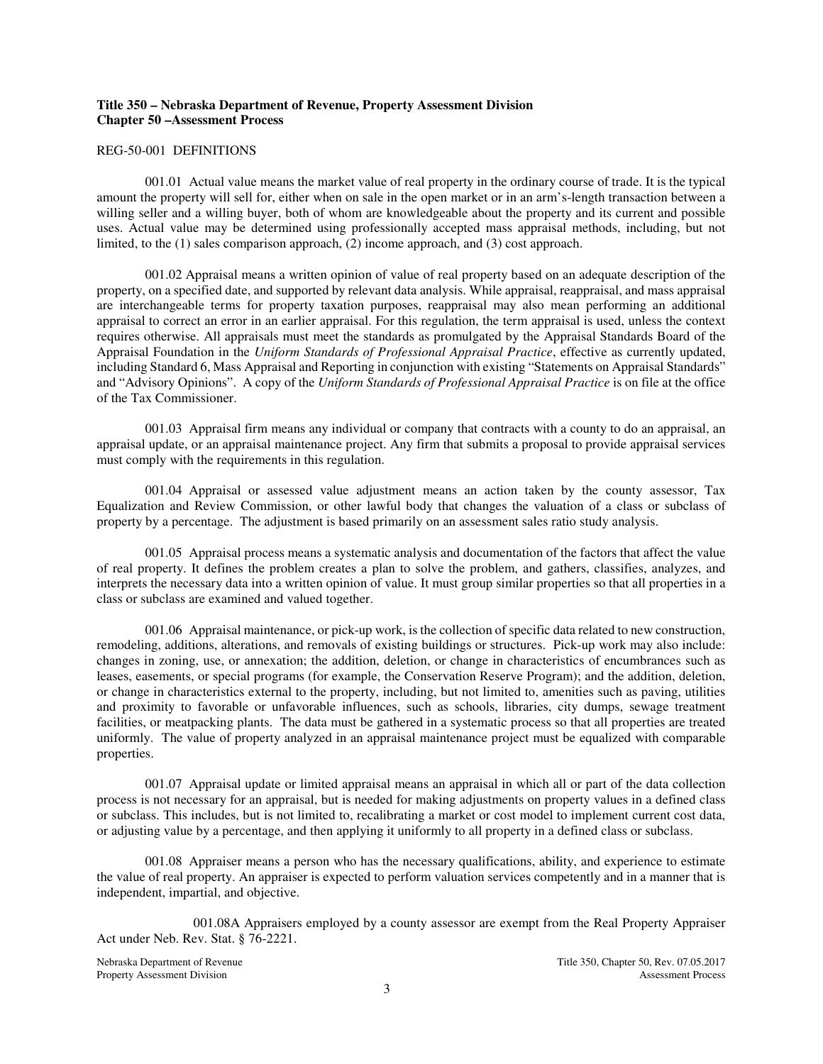# **Title 350 – Nebraska Department of Revenue, Property Assessment Division Chapter 50 –Assessment Process**

#### REG-50-001 DEFINITIONS

001.01 Actual value means the market value of real property in the ordinary course of trade. It is the typical amount the property will sell for, either when on sale in the open market or in an arm's-length transaction between a willing seller and a willing buyer, both of whom are knowledgeable about the property and its current and possible uses. Actual value may be determined using professionally accepted mass appraisal methods, including, but not limited, to the (1) sales comparison approach, (2) income approach, and (3) cost approach.

001.02 Appraisal means a written opinion of value of real property based on an adequate description of the property, on a specified date, and supported by relevant data analysis. While appraisal, reappraisal, and mass appraisal are interchangeable terms for property taxation purposes, reappraisal may also mean performing an additional appraisal to correct an error in an earlier appraisal. For this regulation, the term appraisal is used, unless the context requires otherwise. All appraisals must meet the standards as promulgated by the Appraisal Standards Board of the Appraisal Foundation in the *Uniform Standards of Professional Appraisal Practice*, effective as currently updated, including Standard 6, Mass Appraisal and Reporting in conjunction with existing "Statements on Appraisal Standards" and "Advisory Opinions". A copy of the *Uniform Standards of Professional Appraisal Practice* is on file at the office of the Tax Commissioner.

001.03 Appraisal firm means any individual or company that contracts with a county to do an appraisal, an appraisal update, or an appraisal maintenance project. Any firm that submits a proposal to provide appraisal services must comply with the requirements in this regulation.

001.04 Appraisal or assessed value adjustment means an action taken by the county assessor, Tax Equalization and Review Commission, or other lawful body that changes the valuation of a class or subclass of property by a percentage. The adjustment is based primarily on an assessment sales ratio study analysis.

001.05 Appraisal process means a systematic analysis and documentation of the factors that affect the value of real property. It defines the problem creates a plan to solve the problem, and gathers, classifies, analyzes, and interprets the necessary data into a written opinion of value. It must group similar properties so that all properties in a class or subclass are examined and valued together.

001.06 Appraisal maintenance, or pick-up work, is the collection of specific data related to new construction, remodeling, additions, alterations, and removals of existing buildings or structures. Pick-up work may also include: changes in zoning, use, or annexation; the addition, deletion, or change in characteristics of encumbrances such as leases, easements, or special programs (for example, the Conservation Reserve Program); and the addition, deletion, or change in characteristics external to the property, including, but not limited to, amenities such as paving, utilities and proximity to favorable or unfavorable influences, such as schools, libraries, city dumps, sewage treatment facilities, or meatpacking plants. The data must be gathered in a systematic process so that all properties are treated uniformly. The value of property analyzed in an appraisal maintenance project must be equalized with comparable properties.

001.07 Appraisal update or limited appraisal means an appraisal in which all or part of the data collection process is not necessary for an appraisal, but is needed for making adjustments on property values in a defined class or subclass. This includes, but is not limited to, recalibrating a market or cost model to implement current cost data, or adjusting value by a percentage, and then applying it uniformly to all property in a defined class or subclass.

001.08 Appraiser means a person who has the necessary qualifications, ability, and experience to estimate the value of real property. An appraiser is expected to perform valuation services competently and in a manner that is independent, impartial, and objective.

 001.08A Appraisers employed by a county assessor are exempt from the Real Property Appraiser Act under Neb. Rev. Stat. § 76-2221.

Property Assessment Division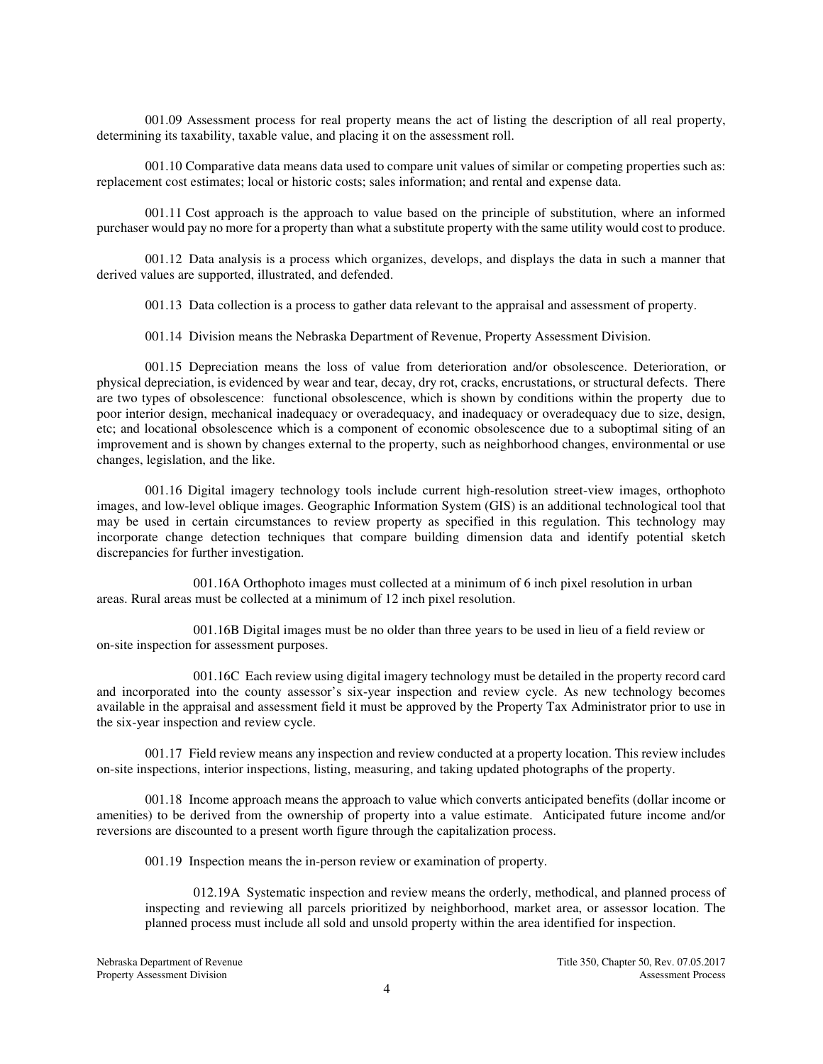001.09 Assessment process for real property means the act of listing the description of all real property, determining its taxability, taxable value, and placing it on the assessment roll.

001.10 Comparative data means data used to compare unit values of similar or competing properties such as: replacement cost estimates; local or historic costs; sales information; and rental and expense data.

001.11 Cost approach is the approach to value based on the principle of substitution, where an informed purchaser would pay no more for a property than what a substitute property with the same utility would cost to produce.

001.12 Data analysis is a process which organizes, develops, and displays the data in such a manner that derived values are supported, illustrated, and defended.

001.13 Data collection is a process to gather data relevant to the appraisal and assessment of property.

001.14 Division means the Nebraska Department of Revenue, Property Assessment Division.

001.15 Depreciation means the loss of value from deterioration and/or obsolescence. Deterioration, or physical depreciation, is evidenced by wear and tear, decay, dry rot, cracks, encrustations, or structural defects. There are two types of obsolescence: functional obsolescence, which is shown by conditions within the property due to poor interior design, mechanical inadequacy or overadequacy, and inadequacy or overadequacy due to size, design, etc; and locational obsolescence which is a component of economic obsolescence due to a suboptimal siting of an improvement and is shown by changes external to the property, such as neighborhood changes, environmental or use changes, legislation, and the like.

001.16 Digital imagery technology tools include current high-resolution street-view images, orthophoto images, and low-level oblique images. Geographic Information System (GIS) is an additional technological tool that may be used in certain circumstances to review property as specified in this regulation. This technology may incorporate change detection techniques that compare building dimension data and identify potential sketch discrepancies for further investigation.

 001.16A Orthophoto images must collected at a minimum of 6 inch pixel resolution in urban areas. Rural areas must be collected at a minimum of 12 inch pixel resolution.

 001.16B Digital images must be no older than three years to be used in lieu of a field review or on-site inspection for assessment purposes.

 001.16C Each review using digital imagery technology must be detailed in the property record card and incorporated into the county assessor's six-year inspection and review cycle. As new technology becomes available in the appraisal and assessment field it must be approved by the Property Tax Administrator prior to use in the six-year inspection and review cycle.

001.17 Field review means any inspection and review conducted at a property location. This review includes on-site inspections, interior inspections, listing, measuring, and taking updated photographs of the property.

001.18 Income approach means the approach to value which converts anticipated benefits (dollar income or amenities) to be derived from the ownership of property into a value estimate. Anticipated future income and/or reversions are discounted to a present worth figure through the capitalization process.

001.19 Inspection means the in-person review or examination of property.

012.19A Systematic inspection and review means the orderly, methodical, and planned process of inspecting and reviewing all parcels prioritized by neighborhood, market area, or assessor location. The planned process must include all sold and unsold property within the area identified for inspection.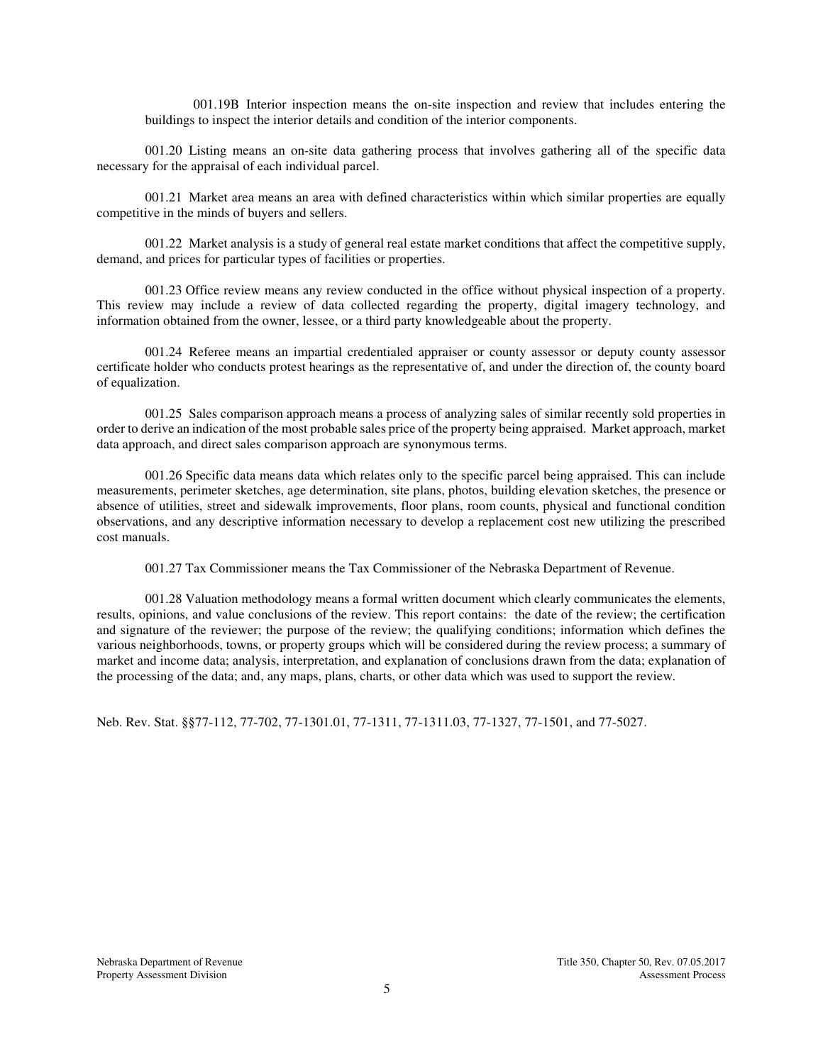001.19B Interior inspection means the on-site inspection and review that includes entering the buildings to inspect the interior details and condition of the interior components.

001.20 Listing means an on-site data gathering process that involves gathering all of the specific data necessary for the appraisal of each individual parcel.

001.21 Market area means an area with defined characteristics within which similar properties are equally competitive in the minds of buyers and sellers.

001.22 Market analysis is a study of general real estate market conditions that affect the competitive supply, demand, and prices for particular types of facilities or properties.

001.23 Office review means any review conducted in the office without physical inspection of a property. This review may include a review of data collected regarding the property, digital imagery technology, and information obtained from the owner, lessee, or a third party knowledgeable about the property.

001.24 Referee means an impartial credentialed appraiser or county assessor or deputy county assessor certificate holder who conducts protest hearings as the representative of, and under the direction of, the county board of equalization.

001.25 Sales comparison approach means a process of analyzing sales of similar recently sold properties in order to derive an indication of the most probable sales price of the property being appraised. Market approach, market data approach, and direct sales comparison approach are synonymous terms.

001.26 Specific data means data which relates only to the specific parcel being appraised. This can include measurements, perimeter sketches, age determination, site plans, photos, building elevation sketches, the presence or absence of utilities, street and sidewalk improvements, floor plans, room counts, physical and functional condition observations, and any descriptive information necessary to develop a replacement cost new utilizing the prescribed cost manuals.

001.27 Tax Commissioner means the Tax Commissioner of the Nebraska Department of Revenue.

 001.28 Valuation methodology means a formal written document which clearly communicates the elements, results, opinions, and value conclusions of the review. This report contains: the date of the review; the certification and signature of the reviewer; the purpose of the review; the qualifying conditions; information which defines the various neighborhoods, towns, or property groups which will be considered during the review process; a summary of market and income data; analysis, interpretation, and explanation of conclusions drawn from the data; explanation of the processing of the data; and, any maps, plans, charts, or other data which was used to support the review.

Neb. Rev. Stat. §§77-112, 77-702, 77-1301.01, 77-1311, 77-1311.03, 77-1327, 77-1501, and 77-5027.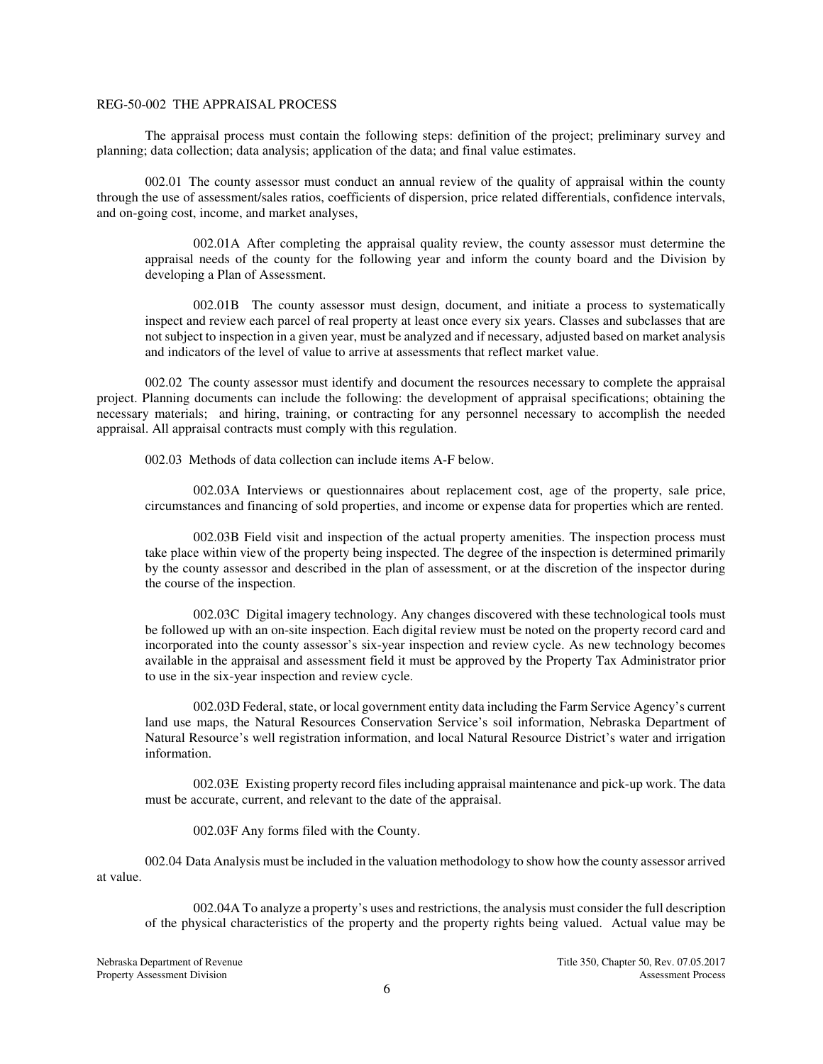## REG-50-002 THE APPRAISAL PROCESS

The appraisal process must contain the following steps: definition of the project; preliminary survey and planning; data collection; data analysis; application of the data; and final value estimates.

002.01 The county assessor must conduct an annual review of the quality of appraisal within the county through the use of assessment/sales ratios, coefficients of dispersion, price related differentials, confidence intervals, and on-going cost, income, and market analyses,

002.01A After completing the appraisal quality review, the county assessor must determine the appraisal needs of the county for the following year and inform the county board and the Division by developing a Plan of Assessment.

002.01B The county assessor must design, document, and initiate a process to systematically inspect and review each parcel of real property at least once every six years. Classes and subclasses that are not subject to inspection in a given year, must be analyzed and if necessary, adjusted based on market analysis and indicators of the level of value to arrive at assessments that reflect market value.

002.02 The county assessor must identify and document the resources necessary to complete the appraisal project. Planning documents can include the following: the development of appraisal specifications; obtaining the necessary materials; and hiring, training, or contracting for any personnel necessary to accomplish the needed appraisal. All appraisal contracts must comply with this regulation.

002.03 Methods of data collection can include items A-F below.

002.03A Interviews or questionnaires about replacement cost, age of the property, sale price, circumstances and financing of sold properties, and income or expense data for properties which are rented.

002.03B Field visit and inspection of the actual property amenities. The inspection process must take place within view of the property being inspected. The degree of the inspection is determined primarily by the county assessor and described in the plan of assessment, or at the discretion of the inspector during the course of the inspection.

002.03C Digital imagery technology. Any changes discovered with these technological tools must be followed up with an on-site inspection. Each digital review must be noted on the property record card and incorporated into the county assessor's six-year inspection and review cycle. As new technology becomes available in the appraisal and assessment field it must be approved by the Property Tax Administrator prior to use in the six-year inspection and review cycle.

002.03D Federal, state, or local government entity data including the Farm Service Agency's current land use maps, the Natural Resources Conservation Service's soil information, Nebraska Department of Natural Resource's well registration information, and local Natural Resource District's water and irrigation information.

002.03E Existing property record files including appraisal maintenance and pick-up work. The data must be accurate, current, and relevant to the date of the appraisal.

002.03F Any forms filed with the County.

002.04 Data Analysis must be included in the valuation methodology to show how the county assessor arrived at value.

002.04A To analyze a property's uses and restrictions, the analysis must consider the full description of the physical characteristics of the property and the property rights being valued. Actual value may be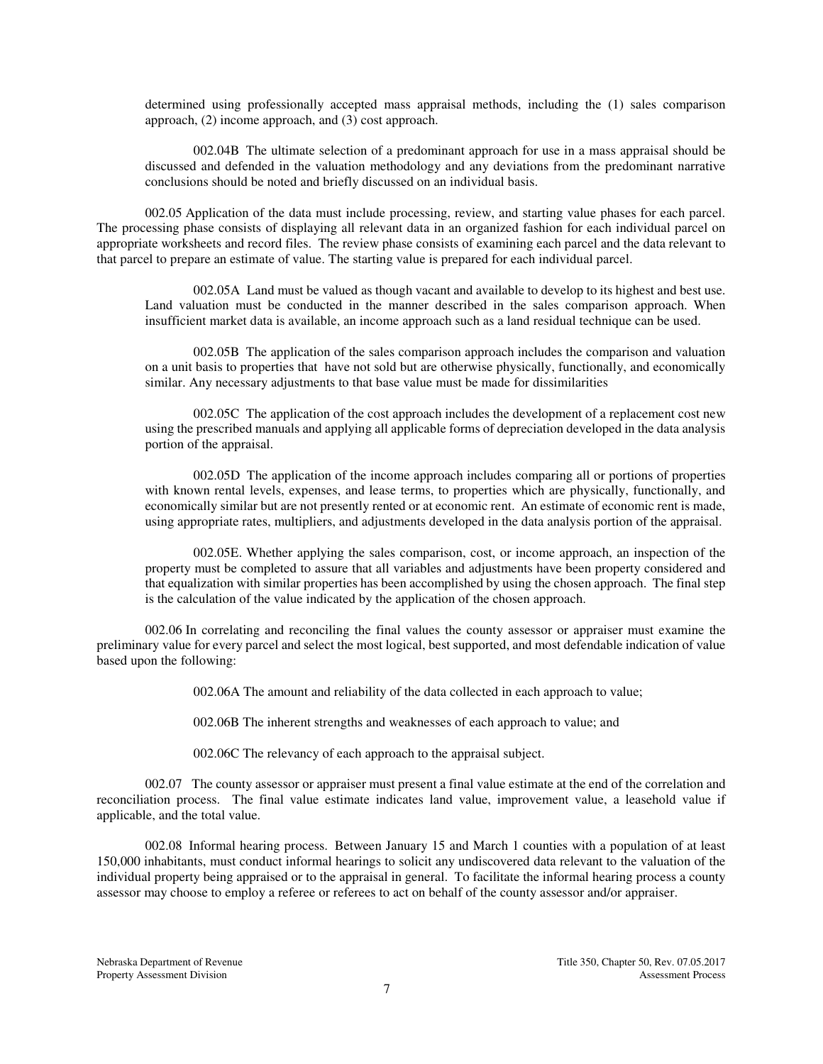determined using professionally accepted mass appraisal methods, including the (1) sales comparison approach, (2) income approach, and (3) cost approach.

002.04B The ultimate selection of a predominant approach for use in a mass appraisal should be discussed and defended in the valuation methodology and any deviations from the predominant narrative conclusions should be noted and briefly discussed on an individual basis.

002.05 Application of the data must include processing, review, and starting value phases for each parcel. The processing phase consists of displaying all relevant data in an organized fashion for each individual parcel on appropriate worksheets and record files. The review phase consists of examining each parcel and the data relevant to that parcel to prepare an estimate of value. The starting value is prepared for each individual parcel.

002.05A Land must be valued as though vacant and available to develop to its highest and best use. Land valuation must be conducted in the manner described in the sales comparison approach. When insufficient market data is available, an income approach such as a land residual technique can be used.

002.05B The application of the sales comparison approach includes the comparison and valuation on a unit basis to properties that have not sold but are otherwise physically, functionally, and economically similar. Any necessary adjustments to that base value must be made for dissimilarities

002.05C The application of the cost approach includes the development of a replacement cost new using the prescribed manuals and applying all applicable forms of depreciation developed in the data analysis portion of the appraisal.

002.05D The application of the income approach includes comparing all or portions of properties with known rental levels, expenses, and lease terms, to properties which are physically, functionally, and economically similar but are not presently rented or at economic rent. An estimate of economic rent is made, using appropriate rates, multipliers, and adjustments developed in the data analysis portion of the appraisal.

002.05E. Whether applying the sales comparison, cost, or income approach, an inspection of the property must be completed to assure that all variables and adjustments have been property considered and that equalization with similar properties has been accomplished by using the chosen approach. The final step is the calculation of the value indicated by the application of the chosen approach.

002.06 In correlating and reconciling the final values the county assessor or appraiser must examine the preliminary value for every parcel and select the most logical, best supported, and most defendable indication of value based upon the following:

002.06A The amount and reliability of the data collected in each approach to value;

002.06B The inherent strengths and weaknesses of each approach to value; and

002.06C The relevancy of each approach to the appraisal subject.

002.07 The county assessor or appraiser must present a final value estimate at the end of the correlation and reconciliation process. The final value estimate indicates land value, improvement value, a leasehold value if applicable, and the total value.

002.08 Informal hearing process. Between January 15 and March 1 counties with a population of at least 150,000 inhabitants, must conduct informal hearings to solicit any undiscovered data relevant to the valuation of the individual property being appraised or to the appraisal in general. To facilitate the informal hearing process a county assessor may choose to employ a referee or referees to act on behalf of the county assessor and/or appraiser.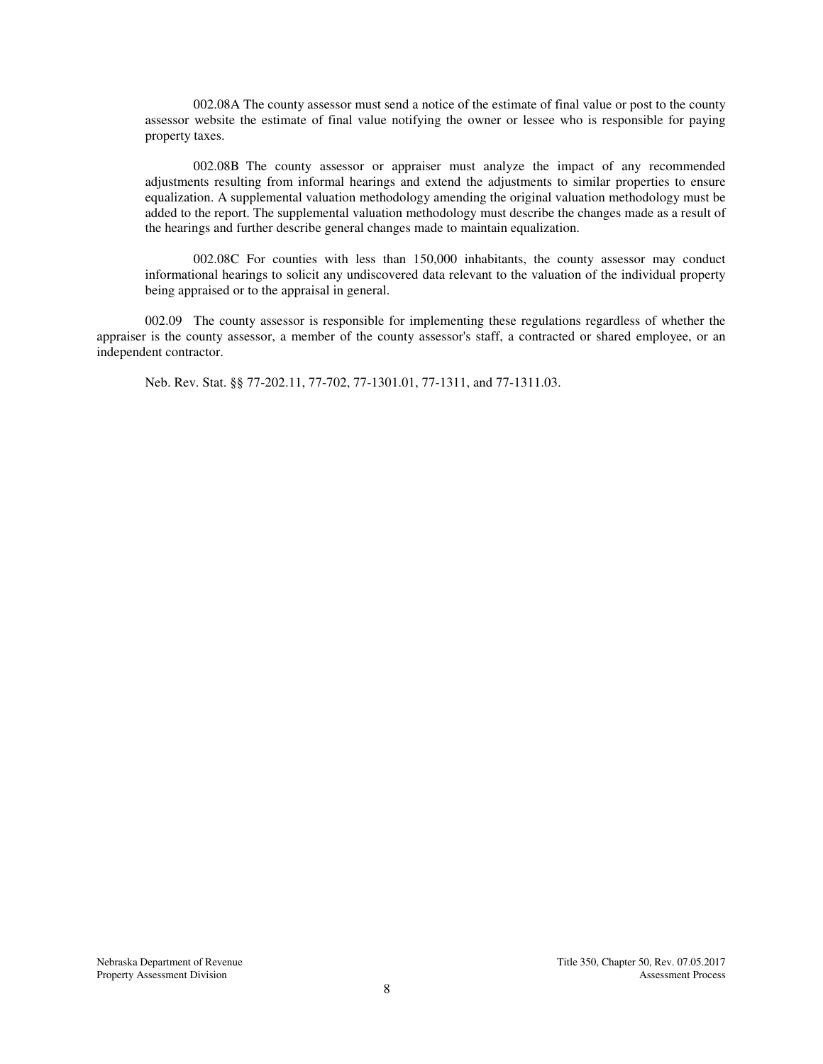002.08A The county assessor must send a notice of the estimate of final value or post to the county assessor website the estimate of final value notifying the owner or lessee who is responsible for paying property taxes.

002.08B The county assessor or appraiser must analyze the impact of any recommended adjustments resulting from informal hearings and extend the adjustments to similar properties to ensure equalization. A supplemental valuation methodology amending the original valuation methodology must be added to the report. The supplemental valuation methodology must describe the changes made as a result of the hearings and further describe general changes made to maintain equalization.

002.08C For counties with less than 150,000 inhabitants, the county assessor may conduct informational hearings to solicit any undiscovered data relevant to the valuation of the individual property being appraised or to the appraisal in general.

002.09 The county assessor is responsible for implementing these regulations regardless of whether the appraiser is the county assessor, a member of the county assessor's staff, a contracted or shared employee, or an independent contractor.

Neb. Rev. Stat. §§ 77-202.11, 77-702, 77-1301.01, 77-1311, and 77-1311.03.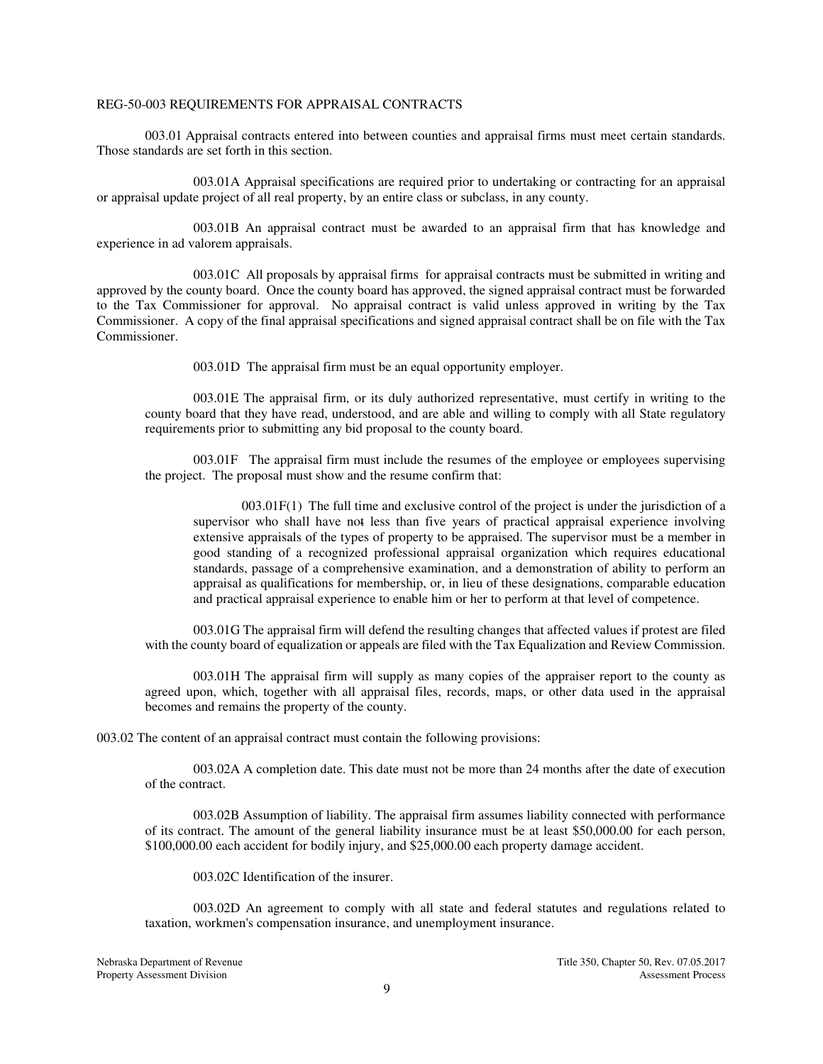## REG-50-003 REQUIREMENTS FOR APPRAISAL CONTRACTS

003.01 Appraisal contracts entered into between counties and appraisal firms must meet certain standards. Those standards are set forth in this section.

 003.01A Appraisal specifications are required prior to undertaking or contracting for an appraisal or appraisal update project of all real property, by an entire class or subclass, in any county.

 003.01B An appraisal contract must be awarded to an appraisal firm that has knowledge and experience in ad valorem appraisals.

 003.01C All proposals by appraisal firms for appraisal contracts must be submitted in writing and approved by the county board. Once the county board has approved, the signed appraisal contract must be forwarded to the Tax Commissioner for approval. No appraisal contract is valid unless approved in writing by the Tax Commissioner. A copy of the final appraisal specifications and signed appraisal contract shall be on file with the Tax Commissioner.

003.01D The appraisal firm must be an equal opportunity employer.

003.01E The appraisal firm, or its duly authorized representative, must certify in writing to the county board that they have read, understood, and are able and willing to comply with all State regulatory requirements prior to submitting any bid proposal to the county board.

003.01F The appraisal firm must include the resumes of the employee or employees supervising the project. The proposal must show and the resume confirm that:

003.01F(1) The full time and exclusive control of the project is under the jurisdiction of a supervisor who shall have not less than five years of practical appraisal experience involving extensive appraisals of the types of property to be appraised. The supervisor must be a member in good standing of a recognized professional appraisal organization which requires educational standards, passage of a comprehensive examination, and a demonstration of ability to perform an appraisal as qualifications for membership, or, in lieu of these designations, comparable education and practical appraisal experience to enable him or her to perform at that level of competence.

003.01G The appraisal firm will defend the resulting changes that affected values if protest are filed with the county board of equalization or appeals are filed with the Tax Equalization and Review Commission.

003.01H The appraisal firm will supply as many copies of the appraiser report to the county as agreed upon, which, together with all appraisal files, records, maps, or other data used in the appraisal becomes and remains the property of the county.

003.02 The content of an appraisal contract must contain the following provisions:

003.02A A completion date. This date must not be more than 24 months after the date of execution of the contract.

003.02B Assumption of liability. The appraisal firm assumes liability connected with performance of its contract. The amount of the general liability insurance must be at least \$50,000.00 for each person, \$100,000.00 each accident for bodily injury, and \$25,000.00 each property damage accident.

003.02C Identification of the insurer.

003.02D An agreement to comply with all state and federal statutes and regulations related to taxation, workmen's compensation insurance, and unemployment insurance.